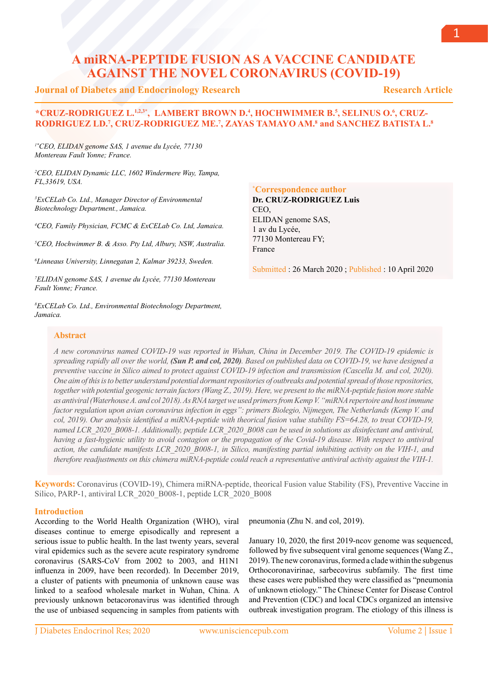# **A miRNA-PEPTIDE FUSION AS A VACCINE CANDIDATE AGAINST THE NOVEL CORONAVIRUS (COVID-19)**

## **Journal of Diabetes and Endocrinology Research**

## **Research Article**

## **\*CRUZ-RODRIGUEZ L.1.2,3\*, LAMBERT BROWN D.4, HOCHWIMMER B.5, SELINUS O.6, CRUZ-RODRIGUEZ LD.7 , CRUZ-RODRIGUEZ ME.7 , ZAYAS TAMAYO AM.8 and SANCHEZ BATISTA L.8**

*1\*CEO, ELIDAN genome SAS, 1 avenue du Lycée, 77130 Montereau Fault Yonne; France.*

*2 CEO, ELIDAN Dynamic LLC, 1602 Windermere Way, Tampa, FL,33619, USA.*

*3 ExCELab Co. Ltd., Manager Director of Environmental Biotechnology Department., Jamaica.*

*4 CEO, Family Physician, FCMC & ExCELab Co. Ltd, Jamaica.*

*5 CEO, Hochwimmer B. & Asso. Pty Ltd, Albury, NSW, Australia.* 

*6 Linneaus University, Linnegatan 2, Kalmar 39233, Sweden.*

*7 ELIDAN genome SAS, 1 avenue du Lycée, 77130 Montereau Fault Yonne; France.*

*8 ExCELab Co. Ltd., Environmental Biotechnology Department, Jamaica.*

## **\* Correspondence author**

**Dr. CRUZ-RODRIGUEZ Luis**  CEO, ELIDAN genome SAS, 1 av du Lycée, 77130 Montereau FY; France

Submitted : 26 March 2020 ; Published : 10 April 2020

## **Abstract**

*A new coronavirus named COVID-19 was reported in Wuhan, China in December 2019. The COVID-19 epidemic is spreading rapidly all over the world, (Sun P. and col, 2020). Based on published data on COVID-19, we have designed a preventive vaccine in Silico aimed to protect against COVID-19 infection and transmission (Cascella M. and col, 2020). One aim of this is to better understand potential dormant repositories of outbreaks and potential spread of those repositories, together with potential geogenic terrain factors (Wang Z., 2019). Here, we present to the miRNA-peptide fusion more stable as antiviral (Waterhouse A. and col 2018). As RNA target we used primers from Kemp V. "miRNA repertoire and host immune factor regulation upon avian coronavirus infection in eggs": primers Biolegio, Nijmegen, The Netherlands (Kemp V. and col, 2019). Our analysis identified a miRNA-peptide with theorical fusion value stability FS=64.28, to treat COVID-19, named LCR\_2020\_B008-1. Additionally, peptide LCR\_2020\_B008 can be used in solutions as disinfectant and antiviral, having a fast-hygienic utility to avoid contagion or the propagation of the Covid-19 disease. With respect to antiviral action, the candidate manifests LCR\_2020\_B008-1, in Silico, manifesting partial inhibiting activity on the VIH-1, and therefore readjustments on this chimera miRNA-peptide could reach a representative antiviral activity against the VIH-1.*

**Keywords:** Coronavirus (COVID-19), Chimera miRNA-peptide, theorical Fusion value Stability (FS), Preventive Vaccine in Silico, PARP-1, antiviral LCR\_2020\_B008-1, peptide LCR\_2020\_B008

### **Introduction**

According to the World Health Organization (WHO), viral diseases continue to emerge episodically and represent a serious issue to public health. In the last twenty years, several viral epidemics such as the severe acute respiratory syndrome coronavirus (SARS-CoV from 2002 to 2003, and H1N1 influenza in 2009, have been recorded). In December 2019, a cluster of patients with pneumonia of unknown cause was linked to a seafood wholesale market in Wuhan, China. A previously unknown betacoronavirus was identified through the use of unbiased sequencing in samples from patients with

pneumonia (Zhu N. and col, 2019).

January 10, 2020, the first 2019-ncov genome was sequenced, followed by five subsequent viral genome sequences (Wang Z., 2019). The new coronavirus, formed a clade within the subgenus Orthocoronavirinae, sarbecovirus subfamily. The first time these cases were published they were classified as "pneumonia of unknown etiology." The Chinese Center for Disease Control and Prevention (CDC) and local CDCs organized an intensive outbreak investigation program. The etiology of this illness is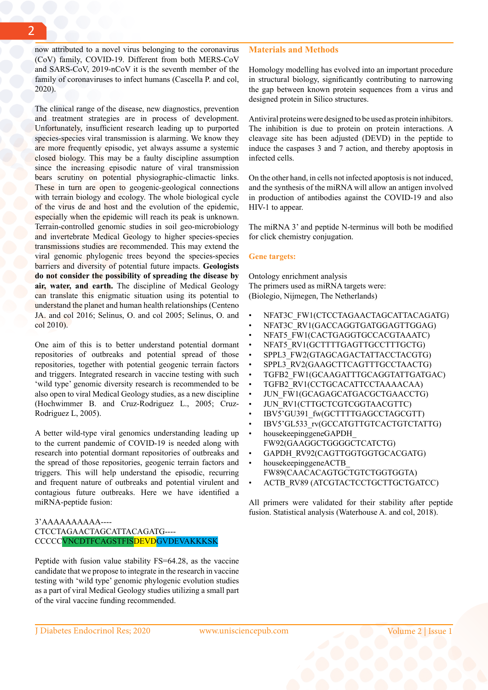now attributed to a novel virus belonging to the coronavirus (CoV) family, COVID-19. Different from both MERS-CoV and SARS-CoV, 2019-nCoV it is the seventh member of the family of coronaviruses to infect humans (Cascella P. and col, 2020).

The clinical range of the disease, new diagnostics, prevention and treatment strategies are in process of development. Unfortunately, insufficient research leading up to purported species-species viral transmission is alarming. We know they are more frequently episodic, yet always assume a systemic closed biology. This may be a faulty discipline assumption since the increasing episodic nature of viral transmission bears scrutiny on potential physiographic-climactic links. These in turn are open to geogenic-geological connections with terrain biology and ecology. The whole biological cycle of the virus de and host and the evolution of the epidemic, especially when the epidemic will reach its peak is unknown. Terrain-controlled genomic studies in soil geo-microbiology and invertebrate Medical Geology to higher species-species transmissions studies are recommended. This may extend the viral genomic phylogenic trees beyond the species-species barriers and diversity of potential future impacts. **Geologists do not consider the possibility of spreading the disease by air, water, and earth.** The discipline of Medical Geology can translate this enigmatic situation using its potential to understand the planet and human health relationships (Centeno JA. and col 2016; Selinus, O. and col 2005; Selinus, O. and col 2010).

One aim of this is to better understand potential dormant repositories of outbreaks and potential spread of those repositories, together with potential geogenic terrain factors and triggers. Integrated research in vaccine testing with such 'wild type' genomic diversity research is recommended to be also open to viral Medical Geology studies, as a new discipline (Hochwimmer B. and Cruz-Rodriguez L., 2005; Cruz-Rodriguez L, 2005).

A better wild-type viral genomics understanding leading up to the current pandemic of COVID-19 is needed along with research into potential dormant repositories of outbreaks and the spread of those repositories, geogenic terrain factors and triggers. This will help understand the episodic, recurring and frequent nature of outbreaks and potential virulent and contagious future outbreaks. Here we have identified a miRNA-peptide fusion:

## 3'AAAAAAAAAA---- CTCCTAGAACTAGCATTACAGATG---- CCCCCVNCDTFCAGSTFISDEVDGVDEVAKKKSK

Peptide with fusion value stability FS=64.28, as the vaccine candidate that we propose to integrate in the research in vaccine testing with 'wild type' genomic phylogenic evolution studies as a part of viral Medical Geology studies utilizing a small part of the viral vaccine funding recommended.

**Materials and Methods**

Homology modelling has evolved into an important procedure in structural biology, significantly contributing to narrowing the gap between known protein sequences from a virus and designed protein in Silico structures.

Antiviral proteins were designed to be used as protein inhibitors. The inhibition is due to protein on protein interactions. A cleavage site has been adjusted (DEVD) in the peptide to induce the caspases 3 and 7 action, and thereby apoptosis in infected cells.

On the other hand, in cells not infected apoptosis is not induced, and the synthesis of the miRNA will allow an antigen involved in production of antibodies against the COVID-19 and also HIV-1 to appear.

The miRNA 3' and peptide N-terminus will both be modified for click chemistry conjugation.

#### **Gene targets:**

Ontology enrichment analysis The primers used as miRNA targets were: (Biolegio, Nijmegen, The Netherlands)

- NFAT3C\_FW1(CTCCTAGAACTAGCATTACAGATG)
- NFAT3C\_RV1(GACCAGGTGATGGAGTTGGAG)
- NFAT5\_FW1(CACTGAGGTGCCACGTAAATC)
- NFAT5\_RV1(GCTTTTGAGTTGCCTTTGCTG)
- SPPL3\_FW2(GTAGCAGACTATTACCTACGTG)
- SPPL3\_RV2(GAAGCTTCAGTTTGCCTAACTG)
- TGFB2 FW1(GCAAGATTTGCAGGTATTGATGAC)
- TGFB2\_RV1(CCTGCACATTCCTAAAACAA)
- JUN\_FW1(GCAGAGCATGACGCTGAACCTG)
- JUN\_RV1(CTTGCTCGTCGGTAACGTTC)
- IBV5'GU391\_fw(GCTTTTGAGCCTAGCGTT)
- IBV5'GL533\_rv(GCCATGTTGTCACTGTCTATTG)
- housekeepinggeneGAPDH\_ FW92(GAAGGCTGGGGCTCATCTG)
- GAPDH\_RV92(CAGTTGGTGGTGCACGATG)
- housekeepinggeneACTB FW89(CAACACAGTGCTGTCTGGTGGTA)
- ACTB\_RV89 (ATCGTACTCCTGCTTGCTGATCC)

All primers were validated for their stability after peptide fusion. Statistical analysis (Waterhouse A. and col, 2018).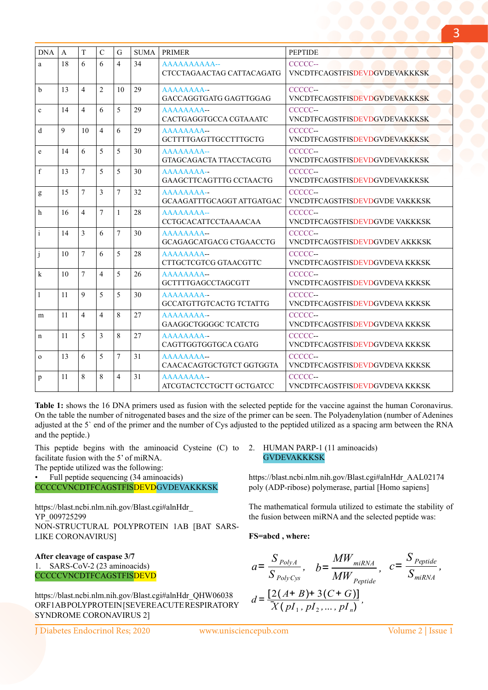| <b>DNA</b>   | A  | T              | $\mathcal{C}$  | G              | <b>SUMA</b> | <b>PRIMER</b>                             | <b>PEPTIDE</b>                                 |
|--------------|----|----------------|----------------|----------------|-------------|-------------------------------------------|------------------------------------------------|
| a            | 18 | 6              | 6              | $\overline{4}$ | 34          | AAAAAAAAAA--<br>CTCCTAGAACTAG CATTACAGATG | CCCCC-<br><b>VNCDTFCAGSTFISDEVDGVDEVAKKKSK</b> |
| $\mathbf b$  | 13 | $\overline{4}$ | $\overline{2}$ | 10             | 29          | AAAAAAAA--<br>GACCAGGTGATG GAGTTGGAG      | CCCCC-<br><b>VNCDTFCAGSTFISDEVDGVDEVAKKKSK</b> |
| $\mathbf{c}$ | 14 | $\overline{4}$ | 6              | 5              | 29          | AAAAAAAA--<br>CACTGAGGTGCCA CGTAAATC      | CCCCC-<br><b>VNCDTFCAGSTFISDEVDGVDEVAKKKSK</b> |
| d            | 9  | 10             | $\overline{4}$ | 6              | 29          | AAAAAAAA--<br>GCTTTTGAGTTGCCTTTGCTG       | CCCCC-<br><b>VNCDTFCAGSTFISDEVDGVDEVAKKKSK</b> |
| e            | 14 | 6              | 5              | 5              | 30          | AAAAAAAA--<br>GTAGCAGACTA TTACCTACGTG     | CCCCC-<br><b>VNCDTFCAGSTFISDEVDGVDEVAKKKSK</b> |
| f            | 13 | $\overline{7}$ | 5              | 5              | 30          | AAAAAAAA--<br>GAAGCTTCAGTTTG CCTAACTG     | CCCCC-<br><b>VNCDTFCAGSTFISDEVDGVDEVAKKKSK</b> |
| g            | 15 | $\tau$         | 3              | $\overline{7}$ | 32          | AAAAAAAA--<br>GCAAGATTTGCAGGT ATTGATGAC   | CCCCC-<br>VNCDTFCAGSTFISDEVDGVDE VAKKKSK       |
| h            | 16 | $\overline{4}$ | 7              | 1              | 28          | AAAAAAAA--<br><b>CCTGCACATTCCTAAAACAA</b> | CCCCC-<br>VNCDTFCAGSTFISDEVDGVDE VAKKKSK       |
| $\mathbf{i}$ | 14 | 3              | 6              | 7              | 30          | AAAAAAAA--<br>GCAGAGCATGACG CTGAACCTG     | CCCCC--<br>VNCDTFCAGSTFISDEVDGVDEV AKKKSK      |
| j            | 10 | $\tau$         | 6              | 5              | 28          | AAAAAAAA--<br>CTTGCTCGTCG GTAACGTTC       | CCCCC-<br>VNCDTFCAGSTFISDEVDGVDEVA KKKSK       |
| k            | 10 | $\overline{7}$ | $\overline{4}$ | 5              | 26          | AAAAAAAA--<br>GCTTTTGAGCCTAGCGTT          | CCCCC-<br>VNCDTFCAGSTFISDEVDGVDEVA KKKSK       |
| 1            | 11 | 9              | 5              | 5              | 30          | AAAAAAAA--<br>GCCATGTTGTCACTG TCTATTG     | CCCCC-<br>VNCDTFCAGSTFISDEVDGVDEVA KKKSK       |
| m            | 11 | $\overline{4}$ | 4              | 8              | 27          | AAAAAAAA--<br>GAAGGCTGGGGC TCATCTG        | CCCCC-<br>VNCDTFCAGSTFISDEVDGVDEVA KKKSK       |
| $\mathbf n$  | 11 | 5              | 3              | 8              | 27          | AAAAAAAA--<br>CAGTTGGTGGTGCA CGATG        | CCCCC-<br>VNCDTFCAGSTFISDEVDGVDEVA KKKSK       |
| $\Omega$     | 13 | 6              | 5              | $\overline{7}$ | 31          | AAAAAAAA--<br>CAACACAGTGCTGTCT GGTGGTA    | CCCCC-<br>VNCDTFCAGSTFISDEVDGVDEVA KKKSK       |
| p            | 11 | 8              | 8              | $\overline{4}$ | 31          | AAAAAAAA--<br>ATCGTACTCCTGCTT GCTGATCC    | CCCCC-<br>VNCDTFCAGSTFISDEVDGVDEVA KKKSK       |

**Table 1:** shows the 16 DNA primers used as fusion with the selected peptide for the vaccine against the human Coronavirus. On the table the number of nitrogenated bases and the size of the primer can be seen. The Polyadenylation (number of Adenines adjusted at the 5` end of the primer and the number of Cys adjusted to the peptided utilized as a spacing arm between the RNA and the peptide.)

This peptide begins with the aminoacid Cysteine (C) to facilitate fusion with the 5' of miRNA.

The peptide utilized was the following:

• Full peptide sequencing (34 aminoacids)

CCCCCVNCDTFCAGSTFISDEVDGVDEVAKKKSK

https://blast.ncbi.nlm.nih.gov/Blast.cgi#alnHdr\_ YP\_009725299 NON-STRUCTURAL POLYPROTEIN 1AB [BAT SARS-LIKE CORONAVIRUS]

**After cleavage of caspase 3/7** 1. SARS-CoV-2 (23 aminoacids) CCCCCVNCDTFCAGSTFISDEVD

https://blast.ncbi.nlm.nih.gov/Blast.cgi#alnHdr\_QHW06038 ORF1AB POLYPROTEIN [SEVERE ACUTE RESPIRATORY SYNDROME CORONAVIRUS 2]

2. HUMAN PARP-1 (11 aminoacids) **GVDEVAKKKSK** 

https://blast.ncbi.nlm.nih.gov/Blast.cgi#alnHdr\_AAL02174 poly (ADP-ribose) polymerase, partial [Homo sapiens]

The mathematical formula utilized to estimate the stability of the fusion between miRNA and the selected peptide was:

**FS=abcd , where:** 

$$
a = \frac{S_{PolyA}}{S_{PolyCys}}, \quad b = \frac{MW_{miRNA}}{MW_{Peptide}}, \quad c = \frac{S_{Peptide}}{S_{miRNA}},
$$

$$
d = \frac{[2( A + B) + 3(C + G)]}{X ( pI_1, pI_2, ..., pI_n)},
$$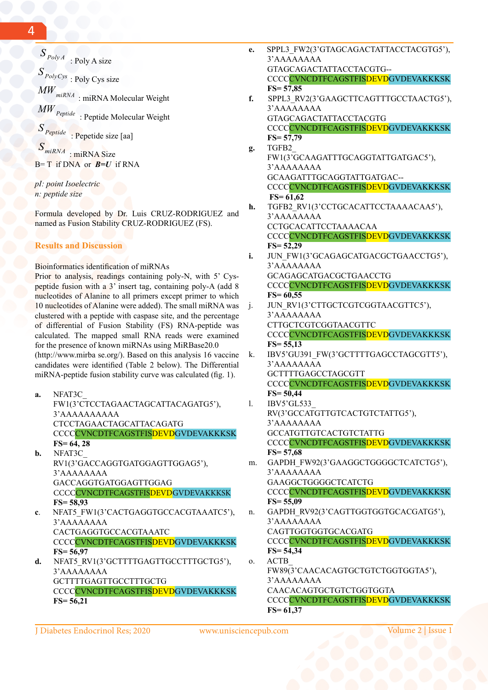$S_{PolyA}$  : Poly A size *<sup>S</sup> PolyCys* : Poly Cys size  $\textit{MW}_{\textit{miRNA}}$  : miRNA Molecular Weight *MW Peptide* : Peptide Molecular Weight *<sup>S</sup> Peptide* : Pepetide size [aa]

*SmiRNA* : miRNA Size B= T if DNA or *B=U* if RNA

*pI: point Isoelectric n: peptide size*

Formula developed by Dr. Luis CRUZ-RODRIGUEZ and named as Fusion Stability CRUZ-RODRIGUEZ (FS).

## **Results and Discussion**

Bioinformatics identification of miRNAs

Prior to analysis, readings containing poly-N, with 5' Cyspeptide fusion with a 3' insert tag, containing poly-A (add 8 nucleotides of Alanine to all primers except primer to which 10 nucleotides of Alanine were added). The small miRNA was clustered with a peptide with caspase site, and the percentage of differential of Fusion Stability (FS) RNA-peptide was calculated. The mapped small RNA reads were examined for the presence of known miRNAs using MiRBase20.0 (http://www.mirba se.org/). Based on this analysis 16 vaccine candidates were identified (Table 2 below). The Differential miRNA-peptide fusion stability curve was calculated (fig. 1).

- **a.** NFAT3C\_ FW1(3'CTCCTAGAACTAGCATTACAGATG5'), 3'AAAAAAAAAA CTCCTAGAACTAGCATTACAGATG CCCCCVNCDTFCAGSTFISDEVDGVDEVAKKKSK  **FS= 64, 28 b.** NFAT3C\_
- RV1(3'GACCAGGTGATGGAGTTGGAG5'), 3'AAAAAAAA GACCAGGTGATGGAGTTGGAG CCCCCVNCDTFCAGSTFISDEVDGVDEVAKKKSK  **FS= 58,93**
- **c**. NFAT5\_FW1(3'CACTGAGGTGCCACGTAAATC5'), 3'AAAAAAAA CACTGAGGTGCCACGTAAATC CCCCVNCDTFCAGSTFISDEVDGVDEVAKKKSK  **FS= 56,97**
- d. NFAT5\_RV1(3'GCTTTTGAGTTGCCTTTGCTG5'), 3'AAAAAAAA GCTTTTGAGTTGCCTTTGCTG CCCCVNCDTFCAGSTFISDEVDGVDEVAKKKSK  **FS= 56,21**
- **e.** SPPL3\_FW2(3'GTAGCAGACTATTACCTACGTG5'), 3'AAAAAAAA GTAGCAGACTATTACCTACGTG-- CCCC CVNCDTFCAGSTFISDEVDGVDEVAKKKSK  **FS= 57,85 f.** SPPL3\_RV2(3'GAAGCTTCAGTTTGCCTAACTG5'), 3'AAAAAAAA
- GTAGCAGACTATTACCTACGTG CCCC CVNCDTFCAGSTFISDEVDGVDEVAKKKSK  **FS= 57,79**
- **g.** TGFB2\_ FW1(3'GCAAGATTTGCAGGTATTGATGAC5'), 3'AAAAAAAA GCAAGATTTGCAGGTATTGATGAC-- CCCC CVNCDTFCAGSTFISDEVDGVDEVAKKKSK **FS= 61,62**
- **h.** TGFB2\_RV1(3'CCTGCACATTCCTAAAACAA5'), 3'AAAAAAAA CCTGCACATTCCTAAAACAA CCCC CVNCDTFCAGSTFISDEVDGVDEVAKKKSK  **FS= 52,29**
- **i.** JUN\_FW1(3'GCAGAGCATGACGCTGAACCTG5'), 3'AAAAAAAA GCAGAGCATGACGCTGAACCTG CCCC CVNCDTFCAGSTFISDEVDGVDEVAKKKSK  **FS= 60,55**
- j. JUN\_RV1(3'CTTGCTCGTCGGTAACGTTC5'), 3'AAAAAAAA CTTGCTCGTCGGTAACGTTC CCCCVNCDTFCAGSTFISDEVDGVDEVAKKKSK  **FS= 55,13**
- k. IBV5'GU391\_FW(3'GCTTTTGAGCCTAGCGTT5'), 3'AAAAAAAA GCTTTTGAGCCTAGCGTT CCCCCVNCDTFCAGSTFISDEVDGVDEVAKKKSK
- **FS= 50,44** l. IBV5'GL533\_ RV(3'GCCATGTTGTCACTGTCTATTG5'), 3'AAAAAAAA GCCATGTTGTCACTGTCTATTG CCCCVNCDTFCAGSTFISDEVDGVDEVAKKKSK **FS= 57,68** m. GAPDH\_FW92(3'GAAGGCTGGGGCTCATCTG5'), 3'AAAAAAAA GAAGGCTGGGGCTCATCTG CCCC CVNCDTFCAGSTFISDEVDGVDEVAKKKSK **FS= 55,09** n. GAPDH\_RV92(3'CAGTTGGTGGTGCACGATG5'), 3'AAAAAAAA CAGTTGGTGGTGCACGATG CCCC CVNCDTFCAGSTFISDEVDGVDEVAKKKSK  **FS= 54,34**
- o. ACTB\_ FW89(3'CAACACAGTGCTGTCTGGTGGTA5'), 3'AAAAAAAA CAACACAGTGCTGTCTGGTGGTA CCCCCVNCDTFCAGSTFISDEVDGVDEVAKKKSK **FS= 61,37**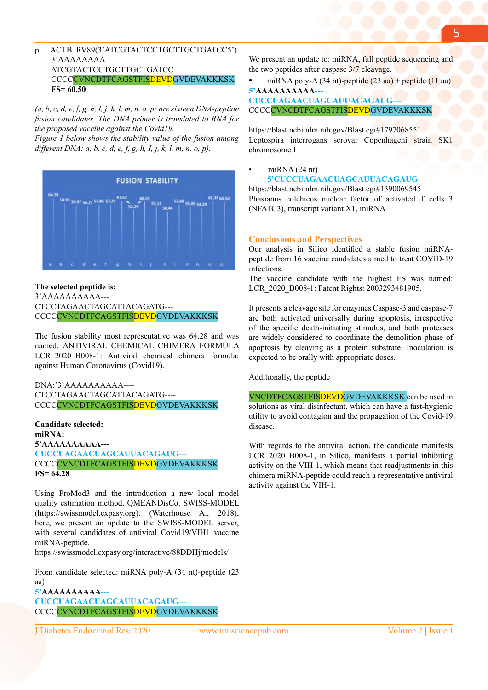## p. ACTB\_RV89(3'ATCGTACTCCTGCTTGCTGATCC5'). 3'AAAAAAAA ATCGTACTCCTGCTTGCTGATCC CCCC CVNCDTFCAGSTFISDEVDGVDEVAKKKSK **FS= 60,50**

*(a, b, c, d, e, f, g, h, I, j, k, l, m, n. o, p: are sixteen DNA-peptide fusion candidates. The DNA primer is translated to RNA for the proposed vaccine against the Covid19.*

*Figure 1 below shows the stability value of the fusion among different DNA: a, b, c, d, e, f, g, h, I, j, k, l, m, n. o, p).*



## **The selected peptide is:** 3'AAAAAAAAAA--- CTCCTAGAACTAGCATTACAGATG--- CCCCVNCDTFCAGSTFISDEVDGVDEVAKKKSK

The fusion stability most representative was 64.28 and was named: ANTIVIRAL CHEMICAL CHIMERA FORMULA LCR 2020 B008-1: Antiviral chemical chimera formula: against Human Coronavirus (Covid19).

DNA:'3'AAAAAAAAAA----CTCCTAGAACTAGCATTACAGATG---- CCCC CVNCDTFCAGSTFISDEVDGVDEVAKKKSK

**Candidate selected: miRNA: 5'AAAAAAAAAA--- CUCCUAGAACUAGCAUUACAGAUG—** CCCC CVNCDTFCAGSTFISDEVDGVDEVAKKKSK **FS= 64.28**

Using ProMod3 and the introduction a new local model quality estimation method, QMEANDisCo. SWISS-MODEL (https://swissmodel.expasy.org). (Waterhouse A., 2018), here, we present an update to the SWISS-MODEL server, with several candidates of antiviral Covid19/VIH1 vaccine miRNA-peptide.

https://swissmodel.expasy.org/interactive/88DDHj/models/

From candidate selected: miRNA poly-A (34 nt)-peptide (23 aa) **5'AAAAAAAAAA--- CUCCUAGAACUAGCAUUACAGAUG—** CCCCVNCDTFCAGSTFISDEVDGVDEVAKKKSK

We present an update to: miRNA, full peptide sequencing and the two peptides after caspase 3/7 cleavage.

miRNA poly-A  $(34 \text{ nt})$ -peptide  $(23 \text{ aa})$  + peptide  $(11 \text{ aa})$ **5'AAAAAAAAAA** 

**CUCCUAGAACUAGCAUUACAGAUG—** CCCCCVNCDTFCAGSTFISDEVDGVDEVAKKKSK

https://blast.ncbi.nlm.nih.gov/Blast.cgi#1797068551 Leptospira interrogans serovar Copenhageni strain SK1 chromosome I

## $m$ iRNA (24 nt)  **5'CUCCUAGAACUAGCAUUACAGAUG**

https://blast.ncbi.nlm.nih.gov/Blast.cgi#1390069545 Phasianus colchicus nuclear factor of activated T cells 3 (NFATC3), transcript variant X1, miRNA

## **Conclusions and Perspectives**

Our analysis in Silico identified a stable fusion miRNApeptide from 16 vaccine candidates aimed to treat COVID-19 infections.

The vaccine candidate with the highest FS was named: LCR\_2020\_B008-1: Patent Rights: 2003293481905.

It presents a cleavage site for enzymes Caspase-3 and caspase-7 are both activated universally during apoptosis, irrespective of the specific death-initiating stimulus, and both proteases are widely considered to coordinate the demolition phase of apoptosis by cleaving as a protein substrate. Inoculation is expected to be orally with appropriate doses.

Additionally, the peptide

VNCDTFCAGSTFISDEVDGVDEVAKKKSK can be used in solutions as viral disinfectant, which can have a fast-hygienic utility to avoid contagion and the propagation of the Covid-19 disease.

With regards to the antiviral action, the candidate manifests LCR 2020 B008-1, in Silico, manifests a partial inhibiting activity on the VIH-1, which means that readjustments in this chimera miRNA-peptide could reach a representative antiviral activity against the VIH-1.